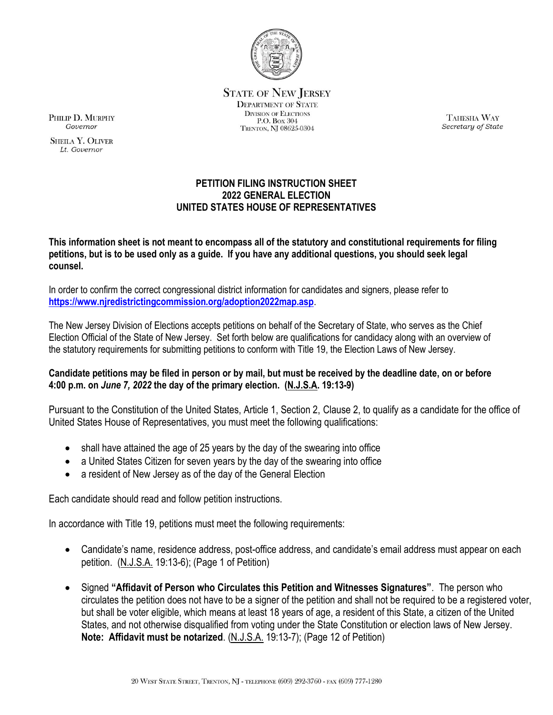

**STATE OF NEW JERSEY DEPARTMENT OF STATE DIVISION OF ELECTIONS** P.O. Box 304 TRENTON, NJ 08625-0304

TAHESHA WAY Secretary of State

## **PETITION FILING INSTRUCTION SHEET 2022 GENERAL ELECTION UNITED STATES HOUSE OF REPRESENTATIVES**

**This information sheet is not meant to encompass all of the statutory and constitutional requirements for filing petitions, but is to be used only as a guide. If you have any additional questions, you should seek legal counsel.**

In order to confirm the correct congressional district information for candidates and signers, please refer to **<https://www.njredistrictingcommission.org/adoption2022map.asp>**.

The New Jersey Division of Elections accepts petitions on behalf of the Secretary of State, who serves as the Chief Election Official of the State of New Jersey. Set forth below are qualifications for candidacy along with an overview of the statutory requirements for submitting petitions to conform with Title 19, the Election Laws of New Jersey.

## **Candidate petitions may be filed in person or by mail, but must be received by the deadline date, on or before 4:00 p.m. on** *June 7, 2022* **the day of the primary election. (N.J.S.A. 19:13-9)**

Pursuant to the Constitution of the United States, Article 1, Section 2, Clause 2, to qualify as a candidate for the office of United States House of Representatives, you must meet the following qualifications:

- shall have attained the age of 25 years by the day of the swearing into office
- a United States Citizen for seven years by the day of the swearing into office
- a resident of New Jersey as of the day of the General Election

Each candidate should read and follow petition instructions.

In accordance with Title 19, petitions must meet the following requirements:

- Candidate's name, residence address, post-office address, and candidate's email address must appear on each petition. (N.J.S.A. 19:13-6); (Page 1 of Petition)
- Signed **"Affidavit of Person who Circulates this Petition and Witnesses Signatures"**. The person who circulates the petition does not have to be a signer of the petition and shall not be required to be a registered voter, but shall be voter eligible, which means at least 18 years of age, a resident of this State, a citizen of the United States, and not otherwise disqualified from voting under the State Constitution or election laws of New Jersey. **Note: Affidavit must be notarized**. (N.J.S.A. 19:13-7); (Page 12 of Petition)

PHILIP D. MURPHY Governor

**SHEILA Y. OLIVER** Lt Governor